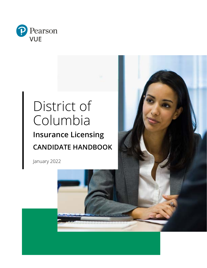

# District of Columbia **Insurance Licensing CANDIDATE HANDBOOK**

January 2022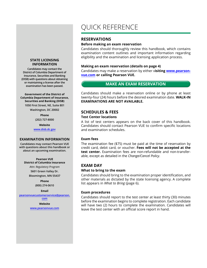#### **STATE LICENSING INFORMATION**

**Candidates may contact the District of Columbia Department of Insurance, Securities and Banking (DISB) with questions about obtaining or maintaining a license after the examination has been passed.**

#### **Government of the District of Columbia Department of Insurance, Securities and Banking (DISB)**

**1050 First Street, NE, Suite 801 Washington, DC 20002**

**Phone**

**(202) 727-8000**

**Website**

**www.disb.dc.gov**

#### **EXAMINATION INFORMATION**

**Candidates may contact Pearson VUE with questions about this handbook or about an upcoming examination.**

#### **Pearson VUE District of Columbia Insurance**

*Attn: Regulatory Program* **5601 Green Valley Dr. Bloomington, MN 55437**

#### **Phone**

**(800) 274-0610**

**Email**

**pearsonvuecustomerservice@pearson.**

#### **com Website**

**www.pearsonvue.com**

## QUICK REFERENCE

## **RESERVATIONS**

#### **Before making an exam reservation**

Candidates should thoroughly review this handbook, which contains examination content outlines and important information regarding eligibility and the examination and licensing application process.

#### **Making an exam reservation (details on page 4)**

Candidates may make a reservation by either v**isiting www.pearsonvue.com or calling Pearson VUE.**

## **MAKE AN EXAM RESERVATION**

Candidates should make a reservation online or by phone at least twenty-four (24) hours before the desired examination date. **WALK-IN EXAMINATIONS ARE NOT AVAILABLE.**

#### **SCHEDULES & FEES**

#### **Test Center locations**

A list of test centers appears on the back cover of this handbook. Candidates should contact Pearson VUE to confirm specific locations and examination schedules.

#### **Exam fees**

The examination fee (\$75) must be paid at the time of reservation by credit card, debit card, or voucher. **Fees will not be accepted at the test center.** Examination fees are non-refundable and non-transferable, except as detailed in the *Change/Cancel Policy*.

#### **EXAM DAY**

#### **What to bring to the exam**

Candidates should bring to the examination proper identification, and other materials as dictated by the state licensing agency. A complete list appears in *What to Bring* (page 6).

#### **Exam procedures**

Candidates should report to the test center at least thirty (30) minutes before the examination begins to complete registration. Each candidate will have two (2) hours to complete the examination. Candidates will leave the test center with an official score report in hand.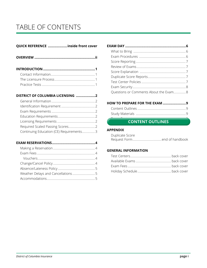## TABLE OF CONTENTS

## **QUICK REFERENCE ....................inside front cover**

|--|--|--|

## **DISTRICT OF COLUMBIA LICENSING ....................2**

| Continuing Education (CE) Requirements3 |  |
|-----------------------------------------|--|

#### **EXAM RESERVATIONS.............................................4**

| Questions or Comments About the Exam 8 |
|----------------------------------------|
|                                        |

## **HOW TO PREPARE FOR THE EXAM ........................9**

## **Example 20**<br>**CONTENT OUTLINES**

#### **APPENDIX**

| Duplicate Score |  |
|-----------------|--|
|                 |  |

#### **GENERAL INFORMATION**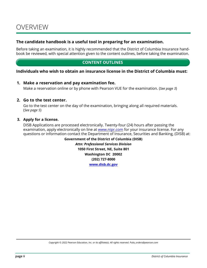## **The candidate handbook is a useful tool in preparing for an examination.**

Before taking an examination, it is highly recommended that the District of Columbia Insurance handbook be reviewed, with special attention given to the content outlines, before taking the examination.

## **CONTENT OUTLINES**

## **Individuals who wish to obtain an insurance license in the District of Columbia must:**

#### **1. Make a reservation and pay examination fee.**

Make a reservation online or by phone with Pearson VUE for the examination. (*See page 3*)

#### **2. Go to the test center.**

Go to the test center on the day of the examination, bringing along all required materials. (*See page 5*)

#### **3. Apply for a license.**

DISB Applications are processed electronically. Twenty-four (24) hours after passing the examination, apply electronically on line at www.nipr.com for your insurance license. For any questions or information contact the Department of Insurance, Securities and Banking, (DISB) at:

> **Government of the District of Columbia (DISB)** *Attn: Professional Services Division* **1050 First Street, NE, Suite 801 Washington DC 20002 (202) 727-8000 www.disb.dc.gov**

*Copyright © 2022 Pearson Education, Inc. or its affiliate(s). All rights reserved. Pubs\_orders@pearson.com*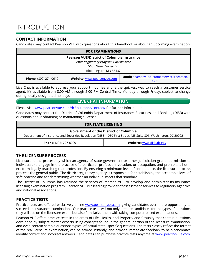## INTRODUCTION

## **CONTACT INFORMATION**

Candidates may contact Pearson VUE with questions about this handbook or about an upcoming examination.

| <b>FOR EXAMINATIONS</b>                           |                             |                                                         |  |
|---------------------------------------------------|-----------------------------|---------------------------------------------------------|--|
| <b>Pearson VUE/District of Columbia Insurance</b> |                             |                                                         |  |
| Attn: Regulatory Program Coordinator              |                             |                                                         |  |
| 5601 Green Valley Dr.                             |                             |                                                         |  |
| Bloomington, MN 55437                             |                             |                                                         |  |
| <b>Phone:</b> (800) 274-0610                      | Website: www.pearsonvue.com | <b>Email:</b> pearsonvuecustomerservice@pearson.<br>com |  |

Live Chat is available to address your support inquiries and is the quickest way to reach a customer service agent. It's available from 8:00 AM through 5:00 PM Central Time, Monday through Friday, subject to change during locally designated holidays.

## **LIVE CHAT INFORMATION**

Please visit www.pearsonvue.com/dc/insurance/contact/ for further information.

Candidates may contact the District of Columbia Department of Insurance, Securities, and Banking (DISB) with questions about obtaining or maintaining a license.

#### **FOR STATE LICENSING**

#### **Government of the District of Columbia**

Department of Insurance and Securities Regulation (DISB) 1050 First Street, NE, Suite 801, Washington, DC 20002

**Phone:** (202) 727-8000 **Website:** www.disb.dc.gov

## **THE LICENSURE PROCESS**

Licensure is the process by which an agency of state government or other jurisdiction grants permission to individuals to engage in the practice of a particular profession, vocation, or occupation, and prohibits all others from legally practicing that profession. By ensuring a minimum level of competence, the licensure process protects the general public. The district regulatory agency is responsible for establishing the acceptable level of safe practice and for determining whether an individual meets that standard.

The District of Columbia has retained the services of Pearson VUE to develop and administer its insurance licensing examination program. Pearson VUE is a leading provider of assessment services to regulatory agencies and national associations.

## **PRACTICE TESTS**

Practice tests are offered exclusively online www.pearsonvue.com, giving candidates even more opportunity to succeed on insurance examinations. Our practice tests will not only prepare candidates for the types of questions they will see on the licensure exam, but also familiarize them with taking computer-based examinations.

Pearson VUE offers practice tests in the areas of Life, Health, and Property and Casualty that contain questions developed by subject matter experts using concepts found in the general portion of the licensure examination, and even contain sample questions typical of actual state- specific questions. The tests closely reflect the format of the real licensure examination, can be scored instantly, and provide immediate feedback to help candidates identify correct and incorrect answers. Candidates can purchase practice tests anytime at www.pearsonvue.com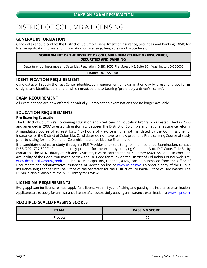## DISTRICT OF COLUMBIA LICENSING

## **GENERAL INFORMATION**

Candidates should contact the District of Columbia Department of Insurance, Securities and Banking (DISB) for license application forms and information on licensing, fees, rules and procedures.

#### **GOVERNMENT OF THE DISTRICT OF COLUMBIA DEPARTMENT OF INSURANCE, SECURITIES AND BANKING**

Department of Insurance and Securities Regulation (DISB), 1050 First Street, NE, Suite 801, Washington, DC 20002

**Phone:** (202) 727-8000

## **IDENTIFICATION REQUIREMENT**

Candidates will satisfy the Test Center identification requirement on examination day by presenting two forms of signature identification, one of which **must** be photo-bearing (preferably a driver's license).

## **EXAM REQUIREMENT**

All examinations are now offered individually. Combination examinations are no longer available.

## **EDUCATION REQUIREMENTS**

#### **Pre-licensing Education**

The District of Columbia's Continuing Education and Pre-Licensing Education Program was established in 2000 and amended in 2007 to establish uniformity between the District of Columbia and national insurance reform.

A mandatory course of at least forty (40) hours of Pre-Licensing is not mandated by the Commissioner of Insurance for the District of Columbia. Candidates do not have to show proof of a Pre-Licensing Course of study prior to sitting for the District of Columbia Insurance License Examination.

If a candidate desires to study through a PLE Provider prior to sitting for the Insurance Examination, contact DISB (202) 727-8000). Candidates may prepare for the exam by studying Chapter 13 of, D.C Code, Title 31 by contacting the MLK Library at 9th and G Streets, NW, or contact the MLK Library (202) 727-7111 to check on availability of the Code. You may also view the DC Code for study on the District of Columbia Council web-site, www.dccouncil.washingtondc.us. The DC Municipal Regulations (DCMR) can be purchased from the Office of Documents and Administrative Issuances, or viewed on line at www.os.dc.gov. To order a copy of the DCMR, Insurance Regulations visit The Office of the Secretary for the District of Columbia, Office of Documents. The DCMR is also available at the MLK Library for review.

## **LICENSING REQUIREMENTS**

Every applicant for licensure must apply for a license within 1 year of taking and passing the insurance examination. Applicants are to apply for an insurance license after successfully passing an insurance examination at www.nipr.com.

## **REQUIRED SCALED PASSING SCORES**

| <b>EXAM</b> | <b>PASSING SCORE</b> |
|-------------|----------------------|
| Producer    | 70                   |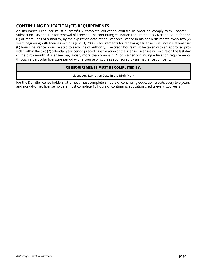## **CONTINUING EDUCATION (CE) REQUIREMENTS**

An Insurance Producer must successfully complete education courses in order to comply with Chapter 1, Subsection 105 and 106 for renewal of licenses. The continuing education requirement is 24 credit hours for one (1) or more lines of authority, by the expiration date of the licensees license in his/her birth month every two (2) years beginning with licenses expiring July 31, 2008. Requirements for renewing a license must include at least six (6) hours insurance hours related to each line of authority. The credit hours must be taken with an approved provider within the two (2) calendar year period preceding expiration of the license. Licenses will expire on the last day of the birth month. A licensee may satisfy more than one-half  $(1/2)$  of his/her continuing education requirements through a particular licensure period with a course or courses sponsored by an insurance company.

#### **CE REQUIREMENTS MUST BE COMPLETED BY:**

Licensee's Expiration Date in the Birth Month

For the DC Title license holders, attorneys must complete 8 hours of continuing education credits every two years, and non-attorney license holders must complete 16 hours of continuing education credits every two years.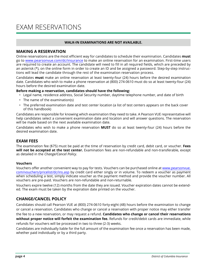## EXAM RESERVATIONS

#### **WALK-IN EXAMINATIONS ARE NOT AVAILABLE.**

#### **MAKING A RESERVATION**

Online reservations are the most efficient way for candidates to schedule their examination. Candidates **must** go to www.pearsonvue.com/dc/insurance to make an online reservation for an examination. First-time users are required to create an account. The candidate will need to fill in all required fields, which are preceded by an asterisk (\*), on the online form in order to create an ID and be assigned a password. Step-by-step instructions will lead the candidate through the rest of the examination reservation process.

Candidates **must** make an online reservation at least twenty-four (24) hours before the desired examination date. Candidates who wish to make a phone reservation at (800) 274-0610 must do so at least twenty-four (24) hours before the desired examination date.

#### **Before making a reservation, candidates should have the following:**

- Legal name, residence address, Social Security number, daytime telephone number, and date of birth
- The name of the examination(s)
- The preferred examination date and test center location (a list of test centers appears on the back cover of this handbook)

Candidates are responsible for knowing which examination they need to take. A Pearson VUE representative will help candidates select a convenient examination date and location and will answer questions. The reservation will be made based on the next available examination date.

Candidates who wish to make a phone reservation **MUST** do so at least twenty-four (24) hours before the desired examination date.

## **EXAM FEES**

The examination fee (\$75) must be paid at the time of reservation by credit card, debit card, or voucher. **Fees will not be accepted at the test center.** Examination fees are non-refundable and non-transferable, except as detailed in the *Change/Cancel Policy*.

#### **Vouchers**

Vouchers offer another convenient way to pay for tests. Vouchers can be purchased online at www.pearsonvue. com/vouchers/pricelist/dc/ins.asp by credit card either singly or in volume. To redeem a voucher as payment when scheduling a test, simply indicate voucher as the payment method and provide the voucher number. All vouchers are pre-paid. Vouchers are non-refundable and non-returnable.

Vouchers expire twelve (12) months from the date they are issued. Voucher expiration dates cannot be extended. The exam must be taken by the expiration date printed on the voucher.

## **CHANGE/CANCEL POLICY**

Candidates should call Pearson VUE at (800) 274-0610 forty-eight (48) hours before the examination to change or cancel a reservation. Candidates who change or cancel a reservation with proper notice may either transfer the fee to a new reservation, or may request a refund. **Candidates who change or cancel their reservations without proper notice will forfeit the examination fee.** Refunds for credit/debit cards are immediate, while refunds for vouchers will be processed in two to three (2-3) weeks.

Candidates are individually liable for the full amount of the examination fee once a reservation has been made, whether paid individually or by a third party.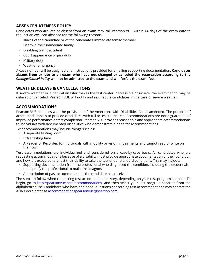## **ABSENCE/LATENESS POLICY**

Candidates who are late or absent from an exam may call Pearson VUE within 14 days of the exam date to request an excused absence for the following reasons:

- Illness of the candidate or of the candidate's immediate family member
- Death in their immediate family
- Disabling traffic accident
- Court appearance or jury duty
- Military duty
- Weather emergency

A case number will be assigned and instructions provided for emailing supporting documentation. **Candidates absent from or late to an exam who have not changed or canceled the reservation according to the**  *Change/Cancel Policy* **will not be admitted to the exam and will forfeit the exam fee.**

## **WEATHER DELAYS & CANCELLATIONS**

If severe weather or a natural disaster makes the test center inaccessible or unsafe, the examination may be delayed or canceled. Pearson VUE will notify and reschedule candidates in the case of severe weather.

## **ACCOMMODATIONS**

Pearson VUE complies with the provisions of the Americans with Disabilities Act as amended. The purpose of accommodations is to provide candidates with full access to the test. Accommodations are not a guarantee of improved performance or test completion. Pearson VUE provides reasonable and appropriate accommodations to individuals with documented disabilities who demonstrate a need for accommodations.

Test accommodations may include things such as:

- A separate testing room
- Extra testing time
- A Reader or Recorder, for individuals with mobility or vision impairments and cannot read or write on their own

Test accommodations are individualized and considered on a case-by-case basis. All candidates who are requesting accommodations because of a disability must provide appropriate documentation of their condition and how it is expected to affect their ability to take the test under standard conditions. This may include:

- Supporting documentation from the professional who diagnosed the condition, including the credentials that qualify the professional to make this diagnosis
- A description of past accommodations the candidate has received

The steps to follow when requesting test accommodations vary, depending on your test program sponsor. To begin, go to http://pearsonvue.com/accommodations, and then select your test program sponsor from the alphabetized list. Candidates who have additional questions concerning test accommodations may contact the ADA Coordinator at accommodationspearsonvue@pearson.com.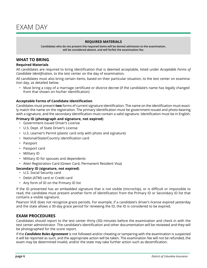#### **REQUIRED MATERIALS**

**Candidates who do not present the required items will be denied admission to the examination, will be considered absent, and will forfeit the examination fee.**

#### **WHAT TO BRING**

#### **Required Materials**

All candidates are required to bring identification that is deemed acceptable, listed under *Acceptable Forms of Candidate Identification*, to the test center on the day of examination.

All candidates must also bring certain items, based on their particular situation, to the test center on examination day, as detailed below.

• Must bring a copy of a marriage certificate or divorce decree (if the candidate's name has legally changed from that shown on his/her identification)

#### **Acceptable Forms of Candidate Identification**

Candidates must present **two** forms of current signature identification. The name on the identification must exactly match the name on the registration. The primary identification must be government-issued and photo-bearing with a signature, and the secondary identification must contain a valid signature. Identification must be in English.

#### **Primary ID (photograph and signature, not expired)**

- Government-issued Driver's License
- U.S. Dept. of State Driver's License
- U.S. Learner's Permit (plastic card only with photo and signature)
- National/State/Country identification card
- Passport
- Passport card
- Military ID
- Military ID for spouses and dependents
- Alien Registration Card (Green Card, Permanent Resident Visa)

#### **Secondary ID (signature, not expired)**

- U.S. Social Security card
- Debit (ATM) card or Credit card
- Any form of ID on the Primary ID list

If the ID presented has an embedded signature that is not visible (microchip), or is difficult or impossible to read, the candidate must present another form of identification from the Primary ID or Secondary ID list that contains a visible signature.

Pearson VUE does not recognize grace periods. For example, if a candidate's driver's license expired yesterday and the state allows a 30-day grace period for renewing the ID, the ID is considered to be expired.

## **EXAM PROCEDURES**

Candidates should report to the test center thirty (30) minutes before the examination and check in with the test center administrator. The candidate's identification and other documentation will be reviewed and they will be photographed for the score report.

If the *Candidate Rules Agreement* is not followed and/or cheating or tampering with the examination is suspected it will be reported as such, and the appropriate action will be taken. The examination fee will not be refunded, the exam may be determined invalid, and/or the state may take further action such as decertification.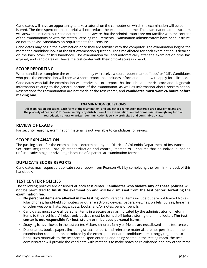Candidates will have an opportunity to take a tutorial on the computer on which the examination will be administered. The time spent on this tutorial will not reduce the examination time. The examination administrators will answer questions, but candidates should be aware that the administrators are not familiar with the content of the examinations or with the state's licensing requirements. Examination administrators have been instructed not to advise candidates on requirements for licensure.

Candidates may begin the examination once they are familiar with the computer. The examination begins the moment a candidate looks at the first examination question. The time allotted for each examination is detailed on the back cover of this handbook. The examination will end automatically after the examination time has expired, and candidates will leave the test center with their official scores in hand.

## **SCORE REPORTING**

When candidates complete the examination, they will receive a score report marked "pass" or "fail". Candidates who pass the examination will receive a score report that includes information on how to apply for a license.

Candidates who fail the examination will receive a score report that includes a numeric score and diagnostic information relating to the general portion of the examination, as well as information about reexamination. Reservations for reexamination are not made at the test center, and **candidates must wait 24 hours before making one**.

#### **EXAMINATION QUESTIONS**

**All examination questions, each form of the examination, and any other examination materials are copyrighted and are the property of Pearson VUE. Consequently, any distribution of the examination content or materials through any form of reproduction or oral or written communication is strictly prohibited and punishable by law.**

## **REVIEW OF EXAMS**

For security reasons, examination material is not available to candidates for review.

## **SCORE EXPLANATION**

The passing score for the examination is determined by the District of Columbia Department of Insurance and Securities Regulation. Through standardization and control, Pearson VUE ensures that no individual has an unfair disadvantage or advantage because of a particular examination format.

## **DUPLICATE SCORE REPORTS**

Candidates may request a duplicate score report from Pearson VUE by completing the form in the back of this handbook.

## **TEST CENTER POLICIES**

The following policies are observed at each test center. **Candidates who violate any of these policies will not be permitted to finish the examination and will be dismissed from the test center, forfeiting the examination fee.**

- **No personal items are allowed in the testing room.** Personal items include but are not limited to: cellular phones, hand-held computers or other electronic devices, pagers, watches, wallets, purses, firearms or other weapons, hats, bags, coats, books, and/or notes, pens or pencils.
- Candidates must store all personal items in a secure area as indicated by the administrator, or return items to their vehicle. All electronic devices must be turned off before storing them in a locker. **The test center is not responsible for lost, stolen or misplaced personal items.**
- Studying **is not** allowed in the test center. Visitors, children, family or friends **are not** allowed in the test center.
- Dictionaries, books, papers (including scratch paper), and reference materials are not permitted in the examination room (unless permitted by the exam sponsor), and candidates are strongly urged not to bring such materials to the test center. Upon entering and being seated in the testing room, the test administrator will provide the candidate with materials to make notes or calculations and any other items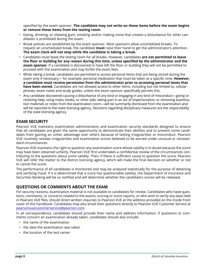specified by the exam sponsor. **The candidate may not write on these items before the exam begins or remove these items from the testing room.**

- Eating, drinking, or chewing gum, smoking and/or making noise that creates a disturbance for other candidates is prohibited during the exam.
- Break policies are established by the exam sponsor. Most sponsors allow unscheduled breaks. To request an unscheduled break, the candidate **must** raise their hand to get the administrator's attention. **The exam clock will not stop while the candidate is taking a break.**
- Candidates must leave the testing room for all breaks. However, candidates **are not permitted to leave the floor or building for any reason during this time, unless specified by the administrator and the exam sponsor**. If a candidate is discovered to have left the floor or building they will not be permitted to proceed with the examination and may forfeit the exam fees.
- While taking a break, candidates are permitted to access personal items that are being stored during the exam only if necessary— for example, personal medication that must be taken at a specific time. **However, a candidate must receive permission from the administrator prior to accessing personal items that have been stored.** Candidates are not allowed access to other items, including but not limited to, cellular phones, exam notes and study guides, unless the exam sponsor specifically permits this.
- Any candidate discovered causing a disturbance of any kind or engaging in any kind of misconduct—giving or receiving help; using notes, books, or other aids; taking part in an act of impersonation; or removing examination materials or notes from the examination room—will be summarily dismissed from the examination and will be reported to the state licensing agency. Decisions regarding disciplinary measures are the responsibility of the state licensing agency.

## **EXAM SECURITY**

Pearson VUE maintains examination administration and examination security standards designed to ensure that all candidates are given the same opportunity to demonstrate their abilities and to prevent some candidates from gaining an unfair advantage over others because of testing irregularities or misconduct. Pearson VUE routinely reviews irregularities and examination scores believed to be earned under unusual or nonstandard circumstances.

Pearson VUE maintains the right to question any examination score whose validity is in doubt because the score may have been obtained unfairly. Pearson VUE first undertakes a confidential review of the circumstances contributing to the questions about score validity. Then, if there is sufficient cause to question the score, Pearson VUE will refer the matter to the district licensing agency, which will make the final decision on whether or not to cancel the score.

The performance of all candidates is monitored and may be analyzed statistically for the purpose of detecting and verifying fraud. If it is determined that a score has questionable validity, the Department of Insurance and Securities Banking will be so notified and will determine whether the candidate's scores will be released.

## **QUESTIONS OR COMMENTS ABOUT THE EXAM**

For security reasons, examination material is not available to candidates for review. Candidates who have questions, comments, or concerns related to the exams, scoring or score reports, or who wish to verify any data held in Pearson VUE files, should direct written inquiries to Pearson VUE at the address provided on the inside front cover of this handbook. Candidates may also email their questions directly to Pearson VUE Customer Service at pearsonvuecustomerservice@pearson.com.

In all correspondence, candidates should provide their name and address information. If questions or comments concern an examination already taken, candidates should also include:

- the name of the examination
- the date the examination was taken
- the location of the test center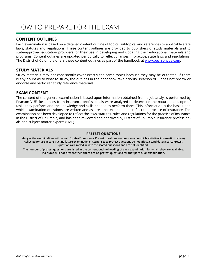## HOW TO PREPARE FOR THE EXAM

## **CONTENT OUTLINES**

Each examination is based on a detailed content outline of topics, subtopics, and references to applicable state laws, statutes and regulations. These content outlines are provided to publishers of study materials and to state-approved education providers for their use in developing and updating their educational materials and programs. Content outlines are updated periodically to reflect changes in practice, state laws and regulations. The District of Columbia offers these content outlines as part of the handbook at www.pearsonvue.com.

#### **STUDY MATERIALS**

Study materials may not consistently cover exactly the same topics because they may be outdated. If there is any doubt as to what to study, the outlines in the handbook take priority. Pearson VUE does not review or endorse any particular study reference materials.

## **EXAM CONTENT**

The content of the general examination is based upon information obtained from a job analysis performed by Pearson VUE. Responses from insurance professionals were analyzed to determine the nature and scope of tasks they perform and the knowledge and skills needed to perform them. This information is the basis upon which examination questions are written and assures that examinations reflect the practice of insurance. The examination has been developed to reflect the laws, statutes, rules and regulations for the practice of insurance in the District of Columbia, and has been reviewed and approved by District of Columbia insurance professionals and subject-matter experts (SME).

#### **PRETEST QUESTIONS**

**Many of the examinations will contain "pretest" questions. Pretest questions are questions on which statistical information is being collected for use in constructing future examinations. Responses to pretest questions do not affect a candidate's score. Pretest questions are mixed in with the scored questions and are not identified.**

**The number of pretest questions are listed in the content outline heading of each examination for which they are available. If a number is not present then there are no pretest questions for that particular examination.**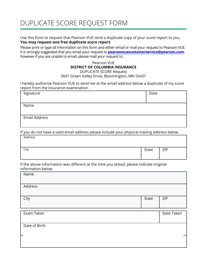## DUPLICATE SCORE REQUEST FORM

Use this form to request that Pearson VUE send a duplicate copy of your score report to you. **You may request one free duplicate score report.**

Please print or type all information on this form and either email or mail your request to Pearson VUE. It is strongly suggested that you email your request to **pearsonvuecustomerservice@pearson.com**; however if you are unable to email, please mail your request to:

#### Pearson VUE **DISTRICT OF COLUMBIA INSURANCE** DUPLICATE SCORE Request

5601 Green Valley Drive, Bloomington, MN 55437

I hereby authorize Pearson VUE to send me at the email address below a duplicate of my score report from the insurance examination.

| Signature            | Date |
|----------------------|------|
|                      |      |
| Name                 |      |
|                      |      |
| <b>Email Address</b> |      |
|                      |      |

If you do not have a valid email address please include your physical mailing address below.

| Address |       |     |
|---------|-------|-----|
| City    | State | ZIP |

If the above information was different at the time you tested, please indicate original information below.

| Name          |       |            |
|---------------|-------|------------|
| Address       |       |            |
| City          | State | ZIP        |
| Exam Taken    |       | Date Taken |
|               |       |            |
| Date of Birth |       |            |
|               |       |            |
|               |       |            |
|               |       |            |